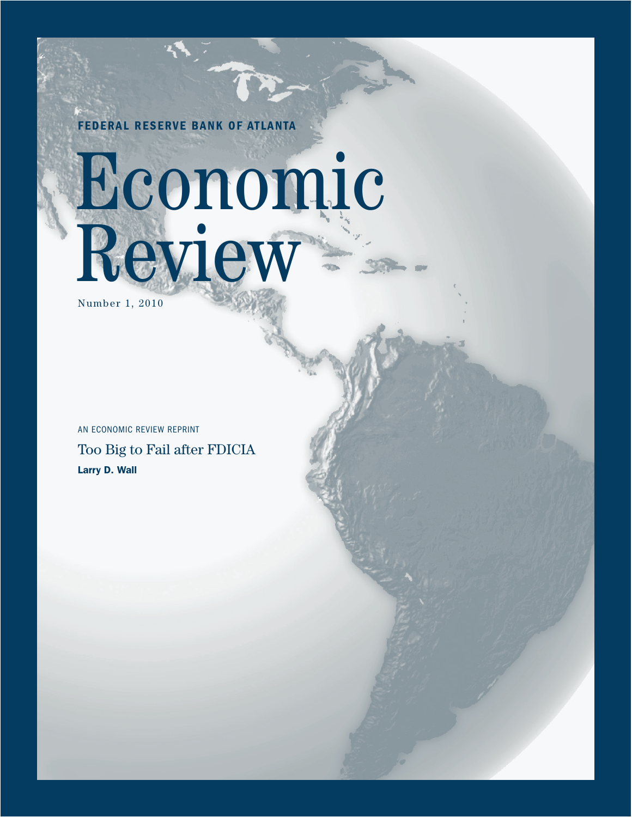FEDERAL RESERVE BANK OF ATLANTA

# Economic Review

Number 1, 2010

Too Big to Fail after FDICIA Larry D. Wall AN ECONOMIC REVIEW REPRINT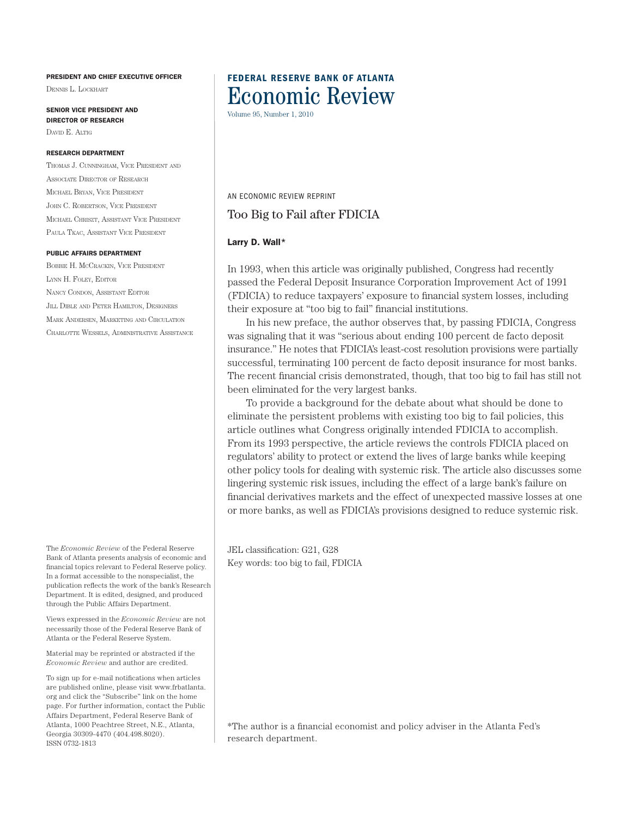#### PRESIDENT AND CHIEF EXECUTIVE OFFICER

Dennis L. Lockhart

SENIOR VICE PRESIDENT AND DIRECTOR OF RESEARCH DAVID E. ALTIG

#### RESEARCH DEPARTMENT

Thomas J. Cunningham, Vice President and Associate Director of Research Michael Bryan, Vice President John C. Robertson, Vice President Michael Chriszt, Assistant Vice President Paula Tkac, Assistant Vice President

#### PUBLIC AFFAIRS DEPARTMENT

Bobbie H. McCrackin, Vice President Lynn H. Foley, Editor Nancy Condon, Assistant Editor Jill Dible and Peter Hamilton, Designers Mark Andersen, Marketing and Circulation Charlotte Wessels, Administrative Assistance

The *Economic Review* of the Federal Reserve Bank of Atlanta presents analysis of economic and financial topics relevant to Federal Reserve policy. In a format accessible to the nonspecialist, the publication reflects the work of the bank's Research Department. It is edited, designed, and produced through the Public Affairs Department.

Views expressed in the *Economic Review* are not necessarily those of the Federal Reserve Bank of Atlanta or the Federal Reserve System.

Material may be reprinted or abstracted if the *Economic Review* and author are credited.

To sign up for e-mail notifications when articles are published online, please visit www.frbatlanta. org and click the "Subscribe" link on the home page. For further information, contact the Public Affairs Department, Federal Reserve Bank of Atlanta, 1000 Peachtree Street, N.E., Atlanta, Georgia 30309-4470 (404.498.8020). ISSN 0732-1813

## FEDERAL RESERVE BANK OF ATLANTA Economic Review

Volume 95, Number 1, 2010

AN ECONOMIC REVIEW REPRINT

## Too Big to Fail after FDICIA

#### Larry D. Wall\*

In 1993, when this article was originally published, Congress had recently passed the Federal Deposit Insurance Corporation Improvement Act of 1991 (FDICIA) to reduce taxpayers' exposure to financial system losses, including their exposure at "too big to fail" financial institutions.

In his new preface, the author observes that, by passing FDICIA, Congress was signaling that it was "serious about ending 100 percent de facto deposit insurance." He notes that FDICIA's least-cost resolution provisions were partially successful, terminating 100 percent de facto deposit insurance for most banks. The recent financial crisis demonstrated, though, that too big to fail has still not been eliminated for the very largest banks.

To provide a background for the debate about what should be done to eliminate the persistent problems with existing too big to fail policies, this article outlines what Congress originally intended FDICIA to accomplish. From its 1993 perspective, the article reviews the controls FDICIA placed on regulators' ability to protect or extend the lives of large banks while keeping other policy tools for dealing with systemic risk. The article also discusses some lingering systemic risk issues, including the effect of a large bank's failure on financial derivatives markets and the effect of unexpected massive losses at one or more banks, as well as FDICIA's provisions designed to reduce systemic risk.

JEL classification: G21, G28 Key words: too big to fail, FDICIA

\*The author is a financial economist and policy adviser in the Atlanta Fed's research department.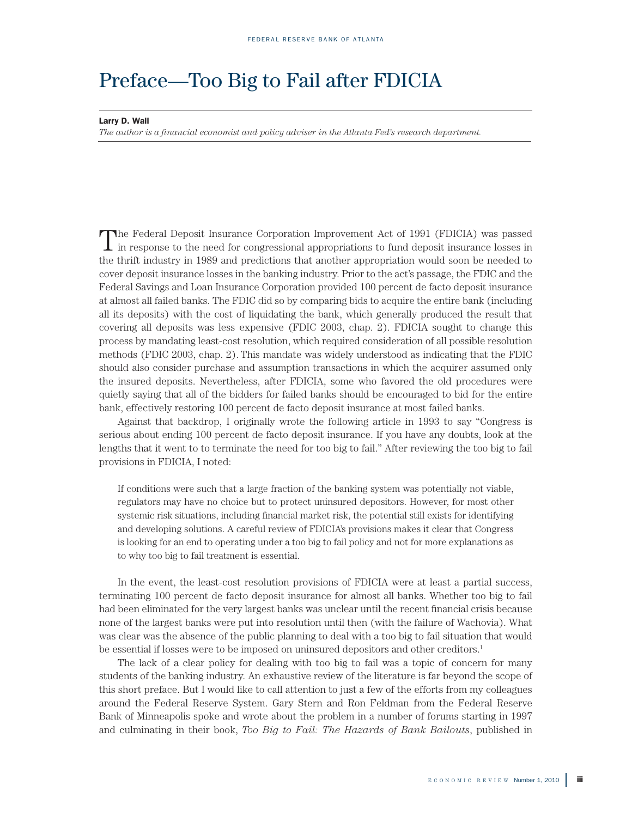# Preface—Too Big to Fail after FDICIA

Larry D. Wall

*The author is a financial economist and policy adviser in the Atlanta Fed's research department.* 

The Federal Deposit Insurance Corporation Improvement Act of 1991 (FDICIA) was passed I in response to the need for congressional appropriations to fund deposit insurance losses in the thrift industry in 1989 and predictions that another appropriation would soon be needed to cover deposit insurance losses in the banking industry. Prior to the act's passage, the FDIC and the Federal Savings and Loan Insurance Corporation provided 100 percent de facto deposit insurance at almost all failed banks. The FDIC did so by comparing bids to acquire the entire bank (including all its deposits) with the cost of liquidating the bank, which generally produced the result that covering all deposits was less expensive (FDIC 2003, chap. 2). FDICIA sought to change this process by mandating least-cost resolution, which required consideration of all possible resolution methods (FDIC 2003, chap. 2). This mandate was widely understood as indicating that the FDIC should also consider purchase and assumption transactions in which the acquirer assumed only the insured deposits. Nevertheless, after FDICIA, some who favored the old procedures were quietly saying that all of the bidders for failed banks should be encouraged to bid for the entire bank, effectively restoring 100 percent de facto deposit insurance at most failed banks.

Against that backdrop, I originally wrote the following article in 1993 to say "Congress is serious about ending 100 percent de facto deposit insurance. If you have any doubts, look at the lengths that it went to to terminate the need for too big to fail." After reviewing the too big to fail provisions in FDICIA, I noted:

If conditions were such that a large fraction of the banking system was potentially not viable, regulators may have no choice but to protect uninsured depositors. However, for most other systemic risk situations, including financial market risk, the potential still exists for identifying and developing solutions. A careful review of FDICIA's provisions makes it clear that Congress is looking for an end to operating under a too big to fail policy and not for more explanations as to why too big to fail treatment is essential.

In the event, the least-cost resolution provisions of FDICIA were at least a partial success, terminating 100 percent de facto deposit insurance for almost all banks. Whether too big to fail had been eliminated for the very largest banks was unclear until the recent financial crisis because none of the largest banks were put into resolution until then (with the failure of Wachovia). What was clear was the absence of the public planning to deal with a too big to fail situation that would be essential if losses were to be imposed on uninsured depositors and other creditors.<sup>1</sup>

The lack of a clear policy for dealing with too big to fail was a topic of concern for many students of the banking industry. An exhaustive review of the literature is far beyond the scope of this short preface. But I would like to call attention to just a few of the efforts from my colleagues around the Federal Reserve System. Gary Stern and Ron Feldman from the Federal Reserve Bank of Minneapolis spoke and wrote about the problem in a number of forums starting in 1997 and culminating in their book, *Too Big to Fail: The Hazards of Bank Bailouts*, published in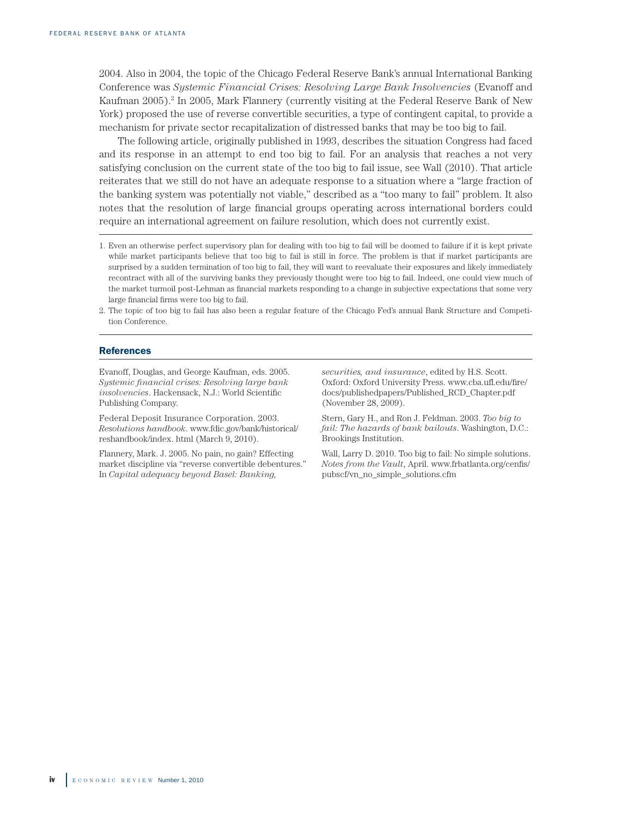2004. Also in 2004, the topic of the Chicago Federal Reserve Bank's annual International Banking Conference was *Systemic Financial Crises: Resolving Large Bank Insolvencies* (Evanoff and Kaufman 2005).<sup>2</sup> In 2005, Mark Flannery (currently visiting at the Federal Reserve Bank of New York) proposed the use of reverse convertible securities, a type of contingent capital, to provide a mechanism for private sector recapitalization of distressed banks that may be too big to fail.

The following article, originally published in 1993, describes the situation Congress had faced and its response in an attempt to end too big to fail. For an analysis that reaches a not very satisfying conclusion on the current state of the too big to fail issue, see Wall (2010). That article reiterates that we still do not have an adequate response to a situation where a "large fraction of the banking system was potentially not viable," described as a "too many to fail" problem. It also notes that the resolution of large financial groups operating across international borders could require an international agreement on failure resolution, which does not currently exist.

#### **References**

Evanoff, Douglas, and George Kaufman, eds. 2005. *Systemic financial crises: Resolving large bank insolvencies*. Hackensack, N.J.: World Scientific Publishing Company.

Federal Deposit Insurance Corporation. 2003. *Resolutions handbook*. www.fdic.gov/bank/historical/ reshandbook/index. html (March 9, 2010).

Flannery, Mark. J. 2005. No pain, no gain? Effecting market discipline via "reverse convertible debentures." In *Capital adequacy beyond Basel: Banking,* 

*securities, and insurance*, edited by H.S. Scott. Oxford: Oxford University Press. www.cba.ufl.edu/fire/ docs/publishedpapers/Published\_RCD\_Chapter.pdf (November 28, 2009).

Stern, Gary H., and Ron J. Feldman. 2003. *Too big to fail: The hazards of bank bailouts*. Washington, D.C.: Brookings Institution.

Wall, Larry D. 2010. Too big to fail: No simple solutions. *Notes from the Vault*, April. www.frbatlanta.org/cenfis/ pubscf/vn\_no\_simple\_solutions.cfm

<sup>1.</sup> Even an otherwise perfect supervisory plan for dealing with too big to fail will be doomed to failure if it is kept private while market participants believe that too big to fail is still in force. The problem is that if market participants are surprised by a sudden termination of too big to fail, they will want to reevaluate their exposures and likely immediately recontract with all of the surviving banks they previously thought were too big to fail. Indeed, one could view much of the market turmoil post-Lehman as financial markets responding to a change in subjective expectations that some very large financial firms were too big to fail.

<sup>2.</sup> The topic of too big to fail has also been a regular feature of the Chicago Fed's annual Bank Structure and Competition Conference.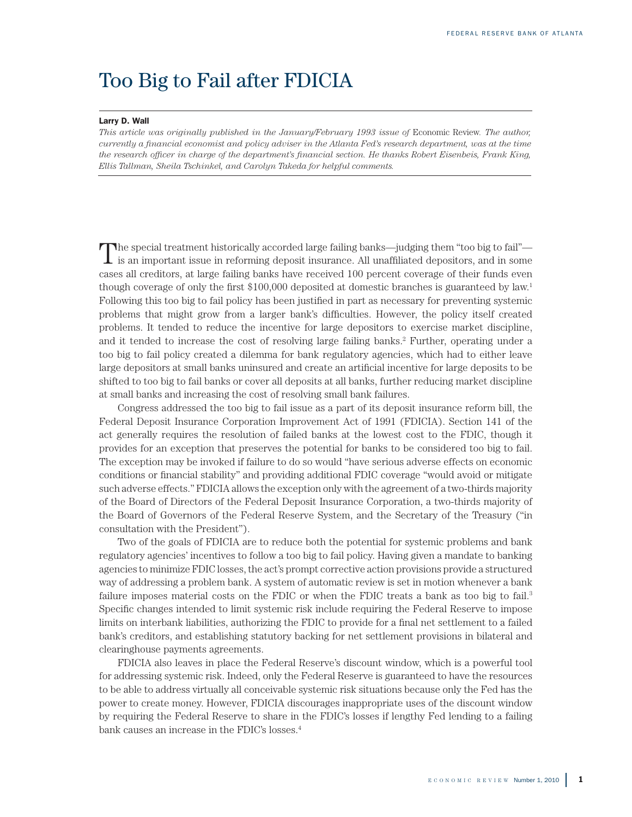# Too Big to Fail after FDICIA

### Larry D. Wall

*This article was originally published in the January/February 1993 issue of Economic Review. The author, currently a financial economist and policy adviser in the Atlanta Fed's research department, was at the time the research officer in charge of the department's financial section. He thanks Robert Eisenbeis, Frank King, Ellis Tallman, Sheila Tschinkel, and Carolyn Takeda for helpful comments.* 

The special treatment historically accorded large failing banks—judging them "too big to fail"—<br>is an important issue in reforming deposit insurance. All unaffiliated depositors, and in some cases all creditors, at large failing banks have received 100 percent coverage of their funds even though coverage of only the first \$100,000 deposited at domestic branches is guaranteed by law.1 Following this too big to fail policy has been justified in part as necessary for preventing systemic problems that might grow from a larger bank's difficulties. However, the policy itself created problems. It tended to reduce the incentive for large depositors to exercise market discipline, and it tended to increase the cost of resolving large failing banks.2 Further, operating under a too big to fail policy created a dilemma for bank regulatory agencies, which had to either leave large depositors at small banks uninsured and create an artificial incentive for large deposits to be shifted to too big to fail banks or cover all deposits at all banks, further reducing market discipline at small banks and increasing the cost of resolving small bank failures.

Congress addressed the too big to fail issue as a part of its deposit insurance reform bill, the Federal Deposit Insurance Corporation Improvement Act of 1991 (FDICIA). Section 141 of the act generally requires the resolution of failed banks at the lowest cost to the FDIC, though it provides for an exception that preserves the potential for banks to be considered too big to fail. The exception may be invoked if failure to do so would "have serious adverse effects on economic conditions or financial stability" and providing additional FDIC coverage "would avoid or mitigate such adverse effects." FDICIA allows the exception only with the agreement of a two-thirds majority of the Board of Directors of the Federal Deposit Insurance Corporation, a two-thirds majority of the Board of Governors of the Federal Reserve System, and the Secretary of the Treasury ("in consultation with the President").

Two of the goals of FDICIA are to reduce both the potential for systemic problems and bank regulatory agencies' incentives to follow a too big to fail policy. Having given a mandate to banking agencies to minimize FDIC losses, the act's prompt corrective action provisions provide a structured way of addressing a problem bank. A system of automatic review is set in motion whenever a bank failure imposes material costs on the FDIC or when the FDIC treats a bank as too big to fail.<sup>3</sup> Specific changes intended to limit systemic risk include requiring the Federal Reserve to impose limits on interbank liabilities, authorizing the FDIC to provide for a final net settlement to a failed bank's creditors, and establishing statutory backing for net settlement provisions in bilateral and clearinghouse payments agreements.

FDICIA also leaves in place the Federal Reserve's discount window, which is a powerful tool for addressing systemic risk. Indeed, only the Federal Reserve is guaranteed to have the resources to be able to address virtually all conceivable systemic risk situations because only the Fed has the power to create money. However, FDICIA discourages inappropriate uses of the discount window by requiring the Federal Reserve to share in the FDIC's losses if lengthy Fed lending to a failing bank causes an increase in the FDIC's losses.<sup>4</sup>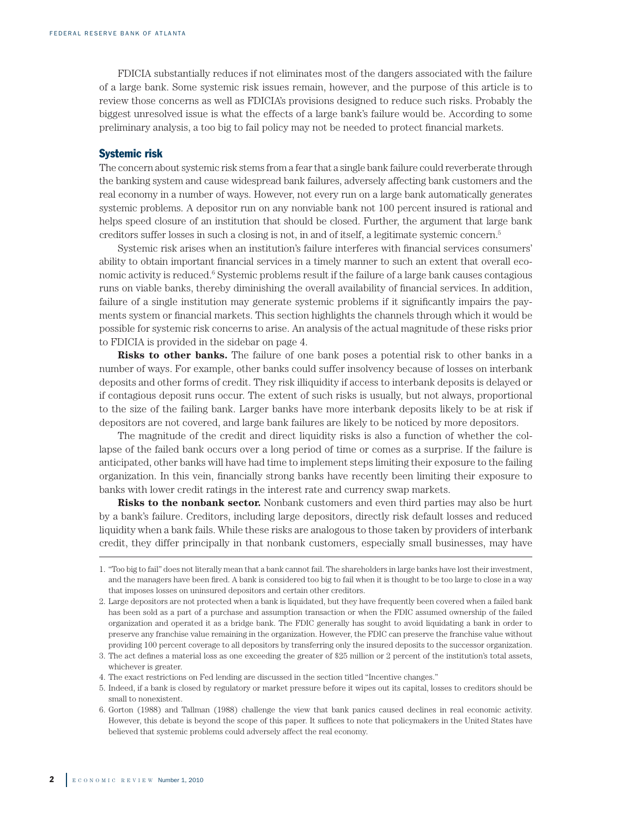FDICIA substantially reduces if not eliminates most of the dangers associated with the failure of a large bank. Some systemic risk issues remain, however, and the purpose of this article is to review those concerns as well as FDICIA's provisions designed to reduce such risks. Probably the biggest unresolved issue is what the effects of a large bank's failure would be. According to some preliminary analysis, a too big to fail policy may not be needed to protect financial markets.

#### Systemic risk

The concern about systemic risk stems from a fear that a single bank failure could reverberate through the banking system and cause widespread bank failures, adversely affecting bank customers and the real economy in a number of ways. However, not every run on a large bank automatically generates systemic problems. A depositor run on any nonviable bank not 100 percent insured is rational and helps speed closure of an institution that should be closed. Further, the argument that large bank creditors suffer losses in such a closing is not, in and of itself, a legitimate systemic concern.5

Systemic risk arises when an institution's failure interferes with financial services consumers' ability to obtain important financial services in a timely manner to such an extent that overall economic activity is reduced.<sup>6</sup> Systemic problems result if the failure of a large bank causes contagious runs on viable banks, thereby diminishing the overall availability of financial services. In addition, failure of a single institution may generate systemic problems if it significantly impairs the payments system or financial markets. This section highlights the channels through which it would be possible for systemic risk concerns to arise. An analysis of the actual magnitude of these risks prior to FDICIA is provided in the sidebar on page 4.

**Risks to other banks.** The failure of one bank poses a potential risk to other banks in a number of ways. For example, other banks could suffer insolvency because of losses on interbank deposits and other forms of credit. They risk illiquidity if access to interbank deposits is delayed or if contagious deposit runs occur. The extent of such risks is usually, but not always, proportional to the size of the failing bank. Larger banks have more interbank deposits likely to be at risk if depositors are not covered, and large bank failures are likely to be noticed by more depositors.

The magnitude of the credit and direct liquidity risks is also a function of whether the collapse of the failed bank occurs over a long period of time or comes as a surprise. If the failure is anticipated, other banks will have had time to implement steps limiting their exposure to the failing organization. In this vein, financially strong banks have recently been limiting their exposure to banks with lower credit ratings in the interest rate and currency swap markets.

**Risks to the nonbank sector.** Nonbank customers and even third parties may also be hurt by a bank's failure. Creditors, including large depositors, directly risk default losses and reduced liquidity when a bank fails. While these risks are analogous to those taken by providers of interbank credit, they differ principally in that nonbank customers, especially small businesses, may have

<sup>1.</sup> "Too big to fail" does not literally mean that a bank cannot fail. The shareholders in large banks have lost their investment, and the managers have been fired. A bank is considered too big to fail when it is thought to be too large to close in a way that imposes losses on uninsured depositors and certain other creditors.

<sup>2.</sup> Large depositors are not protected when a bank is liquidated, but they have frequently been covered when a failed bank has been sold as a part of a purchase and assumption transaction or when the FDIC assumed ownership of the failed organization and operated it as a bridge bank. The FDIC generally has sought to avoid liquidating a bank in order to preserve any franchise value remaining in the organization. However, the FDIC can preserve the franchise value without providing 100 percent coverage to all depositors by transferring only the insured deposits to the successor organization.

<sup>3.</sup> The act defines a material loss as one exceeding the greater of \$25 million or 2 percent of the institution's total assets, whichever is greater.

<sup>4.</sup> The exact restrictions on Fed lending are discussed in the section titled "Incentive changes."

<sup>5.</sup> Indeed, if a bank is closed by regulatory or market pressure before it wipes out its capital, losses to creditors should be small to nonexistent.

<sup>6.</sup> Gorton (1988) and Tallman (1988) challenge the view that bank panics caused declines in real economic activity. However, this debate is beyond the scope of this paper. It suffices to note that policymakers in the United States have believed that systemic problems could adversely affect the real economy.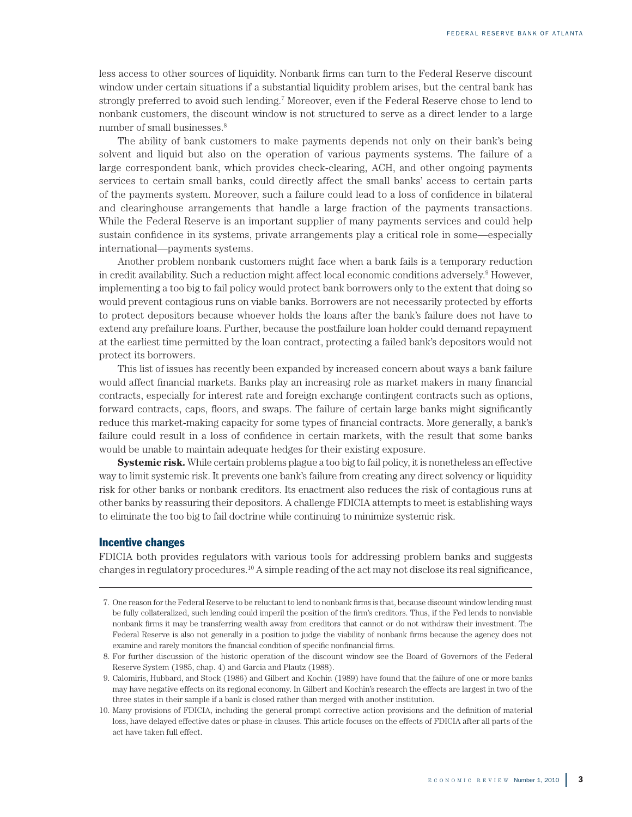less access to other sources of liquidity. Nonbank firms can turn to the Federal Reserve discount window under certain situations if a substantial liquidity problem arises, but the central bank has strongly preferred to avoid such lending.<sup>7</sup> Moreover, even if the Federal Reserve chose to lend to nonbank customers, the discount window is not structured to serve as a direct lender to a large number of small businesses.<sup>8</sup>

The ability of bank customers to make payments depends not only on their bank's being solvent and liquid but also on the operation of various payments systems. The failure of a large correspondent bank, which provides check-clearing, ACH, and other ongoing payments services to certain small banks, could directly affect the small banks' access to certain parts of the payments system. Moreover, such a failure could lead to a loss of confidence in bilateral and clearinghouse arrangements that handle a large fraction of the payments transactions. While the Federal Reserve is an important supplier of many payments services and could help sustain confidence in its systems, private arrangements play a critical role in some—especially international—payments systems.

Another problem nonbank customers might face when a bank fails is a temporary reduction in credit availability. Such a reduction might affect local economic conditions adversely.<sup>9</sup> However, implementing a too big to fail policy would protect bank borrowers only to the extent that doing so would prevent contagious runs on viable banks. Borrowers are not necessarily protected by efforts to protect depositors because whoever holds the loans after the bank's failure does not have to extend any prefailure loans. Further, because the postfailure loan holder could demand repayment at the earliest time permitted by the loan contract, protecting a failed bank's depositors would not protect its borrowers.

This list of issues has recently been expanded by increased concern about ways a bank failure would affect financial markets. Banks play an increasing role as market makers in many financial contracts, especially for interest rate and foreign exchange contingent contracts such as options, forward contracts, caps, floors, and swaps. The failure of certain large banks might significantly reduce this market-making capacity for some types of financial contracts. More generally, a bank's failure could result in a loss of confidence in certain markets, with the result that some banks would be unable to maintain adequate hedges for their existing exposure.

**Systemic risk.** While certain problems plague a too big to fail policy, it is nonetheless an effective way to limit systemic risk. It prevents one bank's failure from creating any direct solvency or liquidity risk for other banks or nonbank creditors. Its enactment also reduces the risk of contagious runs at other banks by reassuring their depositors. A challenge FDICIA attempts to meet is establishing ways to eliminate the too big to fail doctrine while continuing to minimize systemic risk.

#### Incentive changes

FDICIA both provides regulators with various tools for addressing problem banks and suggests changes in regulatory procedures.10 A simple reading of the act may not disclose its real significance,

 <sup>7.</sup> One reason for the Federal Reserve to be reluctant to lend to nonbank firms is that, because discount window lending must be fully collateralized, such lending could imperil the position of the firm's creditors. Thus, if the Fed lends to nonviable nonbank firms it may be transferring wealth away from creditors that cannot or do not withdraw their investment. The Federal Reserve is also not generally in a position to judge the viability of nonbank firms because the agency does not examine and rarely monitors the financial condition of specific nonfinancial firms.

 <sup>8.</sup> For further discussion of the historic operation of the discount window see the Board of Governors of the Federal Reserve System (1985, chap. 4) and Garcia and Plautz (1988).

 <sup>9.</sup> Calomiris, Hubbard, and Stock (1986) and Gilbert and Kochin (1989) have found that the failure of one or more banks may have negative effects on its regional economy. In Gilbert and Kochin's research the effects are largest in two of the three states in their sample if a bank is closed rather than merged with another institution.

<sup>10.</sup> Many provisions of FDICIA, including the general prompt corrective action provisions and the definition of material loss, have delayed effective dates or phase-in clauses. This article focuses on the effects of FDICIA after all parts of the act have taken full effect.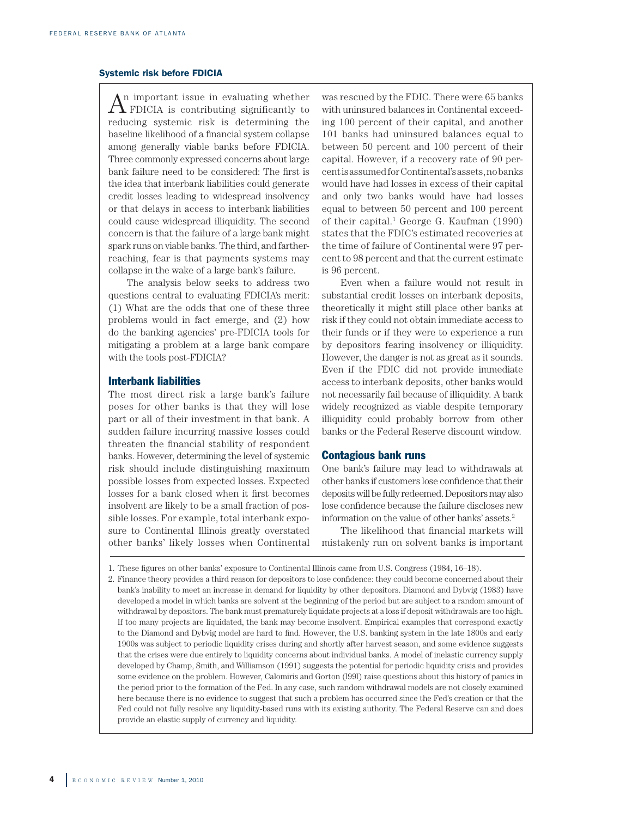#### Systemic risk before FDICIA

 n important issue in evaluating whether  $A^n$  important issue in evaluating whether<br>FDICIA is contributing significantly to reducing systemic risk is determining the baseline likelihood of a financial system collapse among generally viable banks before FDICIA. Three commonly expressed concerns about large bank failure need to be considered: The first is the idea that interbank liabilities could generate credit losses leading to widespread insolvency or that delays in access to interbank liabilities could cause widespread illiquidity. The second concern is that the failure of a large bank might spark runs on viable banks. The third, and fartherreaching, fear is that payments systems may collapse in the wake of a large bank's failure.

The analysis below seeks to address two questions central to evaluating FDICIA's merit: (1) What are the odds that one of these three problems would in fact emerge, and (2) how do the banking agencies' pre-FDICIA tools for mitigating a problem at a large bank compare with the tools post-FDICIA?

#### Interbank liabilities

The most direct risk a large bank's failure poses for other banks is that they will lose part or all of their investment in that bank. A sudden failure incurring massive losses could threaten the financial stability of respondent banks. However, determining the level of systemic risk should include distinguishing maximum possible losses from expected losses. Expected losses for a bank closed when it first becomes insolvent are likely to be a small fraction of possible losses. For example, total interbank exposure to Continental Illinois greatly overstated other banks' likely losses when Continental

was rescued by the FDIC. There were 65 banks with uninsured balances in Continental exceeding 100 percent of their capital, and another 101 banks had uninsured balances equal to between 50 percent and 100 percent of their capital. However, if a recovery rate of 90 percent is assumed for Continental's assets, no banks would have had losses in excess of their capital and only two banks would have had losses equal to between 50 percent and 100 percent of their capital.<sup>1</sup> George G. Kaufman (1990) states that the FDIC's estimated recoveries at the time of failure of Continental were 97 percent to 98 percent and that the current estimate is 96 percent.

Even when a failure would not result in substantial credit losses on interbank deposits, theoretically it might still place other banks at risk if they could not obtain immediate access to their funds or if they were to experience a run by depositors fearing insolvency or illiquidity. However, the danger is not as great as it sounds. Even if the FDIC did not provide immediate access to interbank deposits, other banks would not necessarily fail because of illiquidity. A bank widely recognized as viable despite temporary illiquidity could probably borrow from other banks or the Federal Reserve discount window.

## Contagious bank runs

One bank's failure may lead to withdrawals at other banks if customers lose confidence that their deposits will be fully redeemed. Depositors may also lose confidence because the failure discloses new information on the value of other banks' assets.2

The likelihood that financial markets will mistakenly run on solvent banks is important

2. Finance theory provides a third reason for depositors to lose confidence: they could become concerned about their bank's inability to meet an increase in demand for liquidity by other depositors. Diamond and Dybvig (1983) have developed a model in which banks are solvent at the beginning of the period but are subject to a random amount of withdrawal by depositors. The bank must prematurely liquidate projects at a loss if deposit withdrawals are too high. If too many projects are liquidated, the bank may become insolvent. Empirical examples that correspond exactly to the Diamond and Dybvig model are hard to find. However, the U.S. banking system in the late 1800s and early 1900s was subject to periodic liquidity crises during and shortly after harvest season, and some evidence suggests that the crises were due entirely to liquidity concerns about individual banks. A model of inelastic currency supply developed by Champ, Smith, and Williamson (1991) suggests the potential for periodic liquidity crisis and provides some evidence on the problem. However, Calomiris and Gorton (l99l) raise questions about this history of panics in the period prior to the formation of the Fed. In any case, such random withdrawal models are not closely examined here because there is no evidence to suggest that such a problem has occurred since the Fed's creation or that the Fed could not fully resolve any liquidity-based runs with its existing authority. The Federal Reserve can and does provide an elastic supply of currency and liquidity.

<sup>1.</sup> These figures on other banks' exposure to Continental Illinois came from U.S. Congress (1984, 16–18).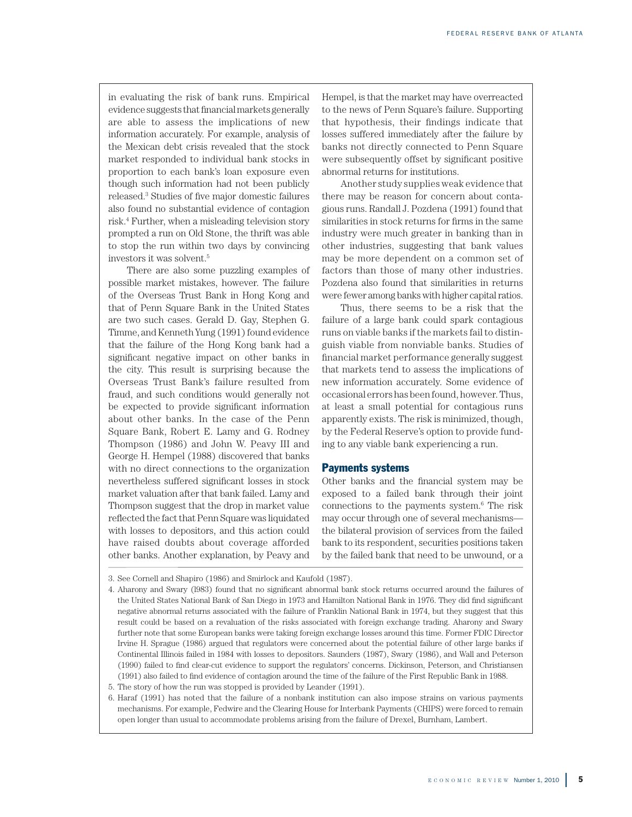in evaluating the risk of bank runs. Empirical evidence suggests that financial markets generally are able to assess the implications of new information accurately. For example, analysis of the Mexican debt crisis revealed that the stock market responded to individual bank stocks in proportion to each bank's loan exposure even though such information had not been publicly released.3 Studies of five major domestic failures also found no substantial evidence of contagion risk.4 Further, when a misleading television story prompted a run on Old Stone, the thrift was able to stop the run within two days by convincing investors it was solvent.5

There are also some puzzling examples of possible market mistakes, however. The failure of the Overseas Trust Bank in Hong Kong and that of Penn Square Bank in the United States are two such cases. Gerald D. Gay, Stephen G. Timme, and Kenneth Yung (1991) found evidence that the failure of the Hong Kong bank had a significant negative impact on other banks in the city. This result is surprising because the Overseas Trust Bank's failure resulted from fraud, and such conditions would generally not be expected to provide significant information about other banks. In the case of the Penn Square Bank, Robert E. Lamy and G. Rodney Thompson (1986) and John W. Peavy III and George H. Hempel (1988) discovered that banks with no direct connections to the organization nevertheless suffered significant losses in stock market valuation after that bank failed. Lamy and Thompson suggest that the drop in market value reflected the fact that Penn Square was liquidated with losses to depositors, and this action could have raised doubts about coverage afforded other banks. Another explanation, by Peavy and

Hempel, is that the market may have overreacted to the news of Penn Square's failure. Supporting that hypothesis, their findings indicate that losses suffered immediately after the failure by banks not directly connected to Penn Square were subsequently offset by significant positive abnormal returns for institutions.

Another study supplies weak evidence that there may be reason for concern about contagious runs. Randall J. Pozdena (1991) found that similarities in stock returns for firms in the same industry were much greater in banking than in other industries, suggesting that bank values may be more dependent on a common set of factors than those of many other industries. Pozdena also found that similarities in returns were fewer among banks with higher capital ratios.

Thus, there seems to be a risk that the failure of a large bank could spark contagious runs on viable banks if the markets fail to distinguish viable from nonviable banks. Studies of financial market performance generally suggest that markets tend to assess the implications of new information accurately. Some evidence of occasional errors has been found, however. Thus, at least a small potential for contagious runs apparently exists. The risk is minimized, though, by the Federal Reserve's option to provide funding to any viable bank experiencing a run.

#### Payments systems

Other banks and the financial system may be exposed to a failed bank through their joint connections to the payments system.6 The risk may occur through one of several mechanisms the bilateral provision of services from the failed bank to its respondent, securities positions taken by the failed bank that need to be unwound, or a

<sup>3.</sup> See Cornell and Shapiro (1986) and Smirlock and Kaufold (1987).

<sup>4.</sup> Aharony and Swary (l983) found that no significant abnormal bank stock returns occurred around the failures of the United States National Bank of San Diego in 1973 and Hamilton National Bank in 1976. They did find significant negative abnormal returns associated with the failure of Franklin National Bank in 1974, but they suggest that this result could be based on a revaluation of the risks associated with foreign exchange trading. Aharony and Swary further note that some European banks were taking foreign exchange losses around this time. Former FDIC Director Irvine H. Sprague (1986) argued that regulators were concerned about the potential failure of other large banks if Continental Illinois failed in 1984 with losses to depositors. Saunders (1987), Swary (1986), and Wall and Peterson (1990) failed to find clear-cut evidence to support the regulators' concerns. Dickinson, Peterson, and Christiansen (1991) also failed to find evidence of contagion around the time of the failure of the First Republic Bank in 1988.

<sup>5.</sup> The story of how the run was stopped is provided by Leander (1991).

<sup>6.</sup> Haraf (1991) has noted that the failure of a nonbank institution can also impose strains on various payments mechanisms. For example, Fedwire and the Clearing House for Interbank Payments (CHIPS) were forced to remain open longer than usual to accommodate problems arising from the failure of Drexel, Burnham, Lambert.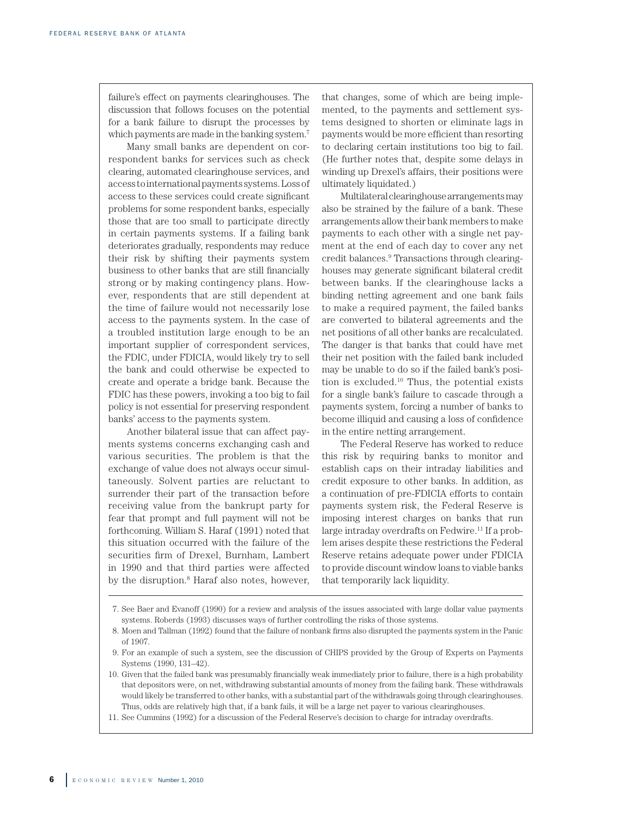failure's effect on payments clearinghouses. The discussion that follows focuses on the potential for a bank failure to disrupt the processes by which payments are made in the banking system.7

Many small banks are dependent on correspondent banks for services such as check clearing, automated clearinghouse services, and access to international payments systems. Loss of access to these services could create significant problems for some respondent banks, especially those that are too small to participate directly in certain payments systems. If a failing bank deteriorates gradually, respondents may reduce their risk by shifting their payments system business to other banks that are still financially strong or by making contingency plans. However, respondents that are still dependent at the time of failure would not necessarily lose access to the payments system. In the case of a troubled institution large enough to be an important supplier of correspondent services, the FDIC, under FDICIA, would likely try to sell the bank and could otherwise be expected to create and operate a bridge bank. Because the FDIC has these powers, invoking a too big to fail policy is not essential for preserving respondent banks' access to the payments system.

Another bilateral issue that can affect payments systems concerns exchanging cash and various securities. The problem is that the exchange of value does not always occur simultaneously. Solvent parties are reluctant to surrender their part of the transaction before receiving value from the bankrupt party for fear that prompt and full payment will not be forthcoming. William S. Haraf (1991) noted that this situation occurred with the failure of the securities firm of Drexel, Burnham, Lambert in 1990 and that third parties were affected by the disruption.8 Haraf also notes, however,

that changes, some of which are being implemented, to the payments and settlement systems designed to shorten or eliminate lags in payments would be more efficient than resorting to declaring certain institutions too big to fail. (He further notes that, despite some delays in winding up Drexel's affairs, their positions were ultimately liquidated.)

Multilateral clearinghouse arrangements may also be strained by the failure of a bank. These arrangements allow their bank members to make payments to each other with a single net payment at the end of each day to cover any net credit balances.9 Transactions through clearinghouses may generate significant bilateral credit between banks. If the clearinghouse lacks a binding netting agreement and one bank fails to make a required payment, the failed banks are converted to bilateral agreements and the net positions of all other banks are recalculated. The danger is that banks that could have met their net position with the failed bank included may be unable to do so if the failed bank's position is excluded.10 Thus, the potential exists for a single bank's failure to cascade through a payments system, forcing a number of banks to become illiquid and causing a loss of confidence in the entire netting arrangement.

The Federal Reserve has worked to reduce this risk by requiring banks to monitor and establish caps on their intraday liabilities and credit exposure to other banks. In addition, as a continuation of pre-FDICIA efforts to contain payments system risk, the Federal Reserve is imposing interest charges on banks that run large intraday overdrafts on Fedwire.<sup>11</sup> If a problem arises despite these restrictions the Federal Reserve retains adequate power under FDICIA to provide discount window loans to viable banks that temporarily lack liquidity.

 8. Moen and Tallman (1992) found that the failure of nonbank firms also disrupted the payments system in the Panic of 1907.

- 10. Given that the failed bank was presumably financially weak immediately prior to failure, there is a high probability that depositors were, on net, withdrawing substantial amounts of money from the failing bank. These withdrawals would likely be transferred to other banks, with a substantial part of the withdrawals going through clearinghouses. Thus, odds are relatively high that, if a bank fails, it will be a large net payer to various clearinghouses.
- 11. See Cummins (1992) for a discussion of the Federal Reserve's decision to charge for intraday overdrafts.

 <sup>7.</sup> See Baer and Evanoff (1990) for a review and analysis of the issues associated with large dollar value payments systems. Roberds (1993) discusses ways of further controlling the risks of those systems.

 <sup>9.</sup> For an example of such a system, see the discussion of CHIPS provided by the Group of Experts on Payments Systems (1990, 131–42).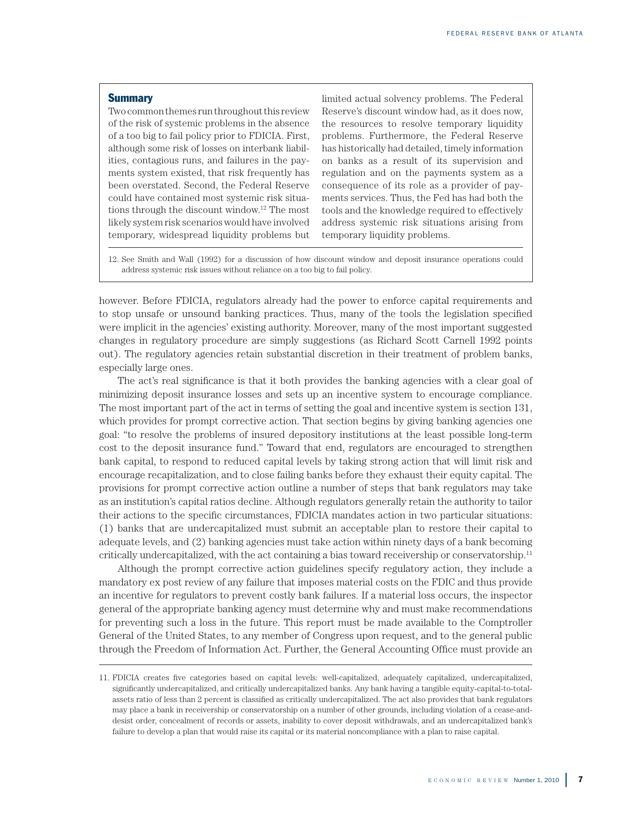#### **Summary**

Two common themes run throughout this review of the risk of systemic problems in the absence of a too big to fail policy prior to FDICIA. First, although some risk of losses on interbank liabilities, contagious runs, and failures in the payments system existed, that risk frequently has been overstated. Second, the Federal Reserve could have contained most systemic risk situations through the discount window.12 The most likely system risk scenarios would have involved temporary, widespread liquidity problems but limited actual solvency problems. The Federal Reserve's discount window had, as it does now, the resources to resolve temporary liquidity problems. Furthermore, the Federal Reserve has historically had detailed, timely information on banks as a result of its supervision and regulation and on the payments system as a consequence of its role as a provider of payments services. Thus, the Fed has had both the tools and the knowledge required to effectively address systemic risk situations arising from temporary liquidity problems.

12. See Smith and Wall (1992) for a discussion of how discount window and deposit insurance operations could address systemic risk issues without reliance on a too big to fail policy.

however. Before FDICIA, regulators already had the power to enforce capital requirements and to stop unsafe or unsound banking practices. Thus, many of the tools the legislation specified were implicit in the agencies' existing authority. Moreover, many of the most important suggested changes in regulatory procedure are simply suggestions (as Richard Scott Carnell 1992 points out). The regulatory agencies retain substantial discretion in their treatment of problem banks, especially large ones.

The act's real significance is that it both provides the banking agencies with a clear goal of minimizing deposit insurance losses and sets up an incentive system to encourage compliance. The most important part of the act in terms of setting the goal and incentive system is section 131, which provides for prompt corrective action. That section begins by giving banking agencies one goal: "to resolve the problems of insured depository institutions at the least possible long-term cost to the deposit insurance fund." Toward that end, regulators are encouraged to strengthen bank capital, to respond to reduced capital levels by taking strong action that will limit risk and encourage recapitalization, and to close failing banks before they exhaust their equity capital. The provisions for prompt corrective action outline a number of steps that bank regulators may take as an institution's capital ratios decline. Although regulators generally retain the authority to tailor their actions to the specific circumstances, FDICIA mandates action in two particular situations: (1) banks that are undercapitalized must submit an acceptable plan to restore their capital to adequate levels, and (2) banking agencies must take action within ninety days of a bank becoming critically undercapitalized, with the act containing a bias toward receivership or conservatorship.<sup>11</sup>

Although the prompt corrective action guidelines specify regulatory action, they include a mandatory ex post review of any failure that imposes material costs on the FDIC and thus provide an incentive for regulators to prevent costly bank failures. If a material loss occurs, the inspector general of the appropriate banking agency must determine why and must make recommendations for preventing such a loss in the future. This report must be made available to the Comptroller General of the United States, to any member of Congress upon request, and to the general public through the Freedom of Information Act. Further, the General Accounting Office must provide an

<sup>11.</sup> FDICIA creates five categories based on capital levels: well-capitalized, adequately capitalized, undercapitalized, significantly undercapitalized, and critically undercapitalized banks. Any bank having a tangible equity-capital-to-totalassets ratio of less than 2 percent is classified as critically undercapitalized. The act also provides that bank regulators may place a bank in receivership or conservatorship on a number of other grounds, including violation of a cease-anddesist order, concealment of records or assets, inability to cover deposit withdrawals, and an undercapitalized bank's failure to develop a plan that would raise its capital or its material noncompliance with a plan to raise capital.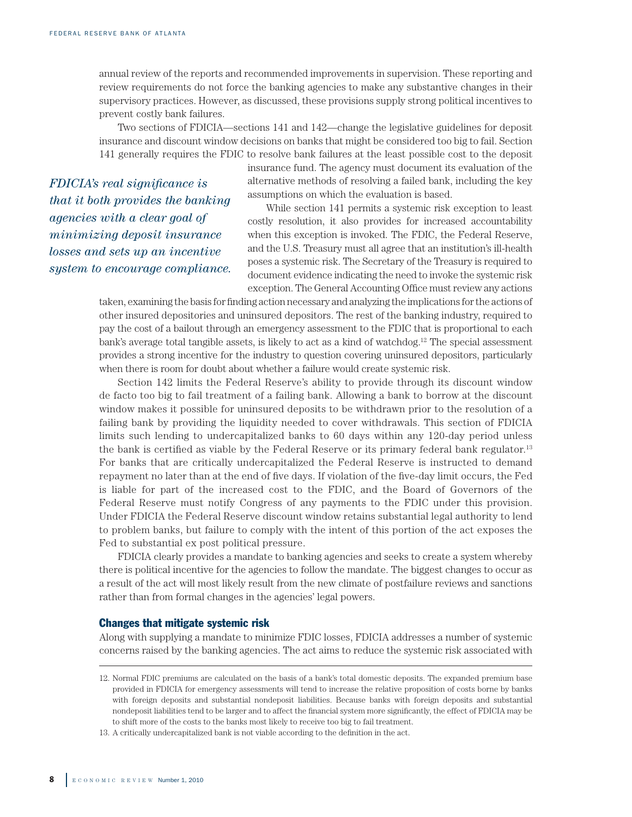annual review of the reports and recommended improvements in supervision. These reporting and review requirements do not force the banking agencies to make any substantive changes in their supervisory practices. However, as discussed, these provisions supply strong political incentives to prevent costly bank failures.

Two sections of FDICIA—sections 141 and 142—change the legislative guidelines for deposit insurance and discount window decisions on banks that might be considered too big to fail. Section 141 generally requires the FDIC to resolve bank failures at the least possible cost to the deposit

*FDICIA's real significance is that it both provides the banking agencies with a clear goal of minimizing deposit insurance losses and sets up an incentive system to encourage compliance.*  insurance fund. The agency must document its evaluation of the alternative methods of resolving a failed bank, including the key assumptions on which the evaluation is based.

While section 141 permits a systemic risk exception to least costly resolution, it also provides for increased accountability when this exception is invoked. The FDIC, the Federal Reserve, and the U.S. Treasury must all agree that an institution's ill-health poses a systemic risk. The Secretary of the Treasury is required to document evidence indicating the need to invoke the systemic risk exception. The General Accounting Office must review any actions

taken, examining the basis for finding action necessary and analyzing the implications for the actions of other insured depositories and uninsured depositors. The rest of the banking industry, required to pay the cost of a bailout through an emergency assessment to the FDIC that is proportional to each bank's average total tangible assets, is likely to act as a kind of watchdog.<sup>12</sup> The special assessment provides a strong incentive for the industry to question covering uninsured depositors, particularly when there is room for doubt about whether a failure would create systemic risk.

Section 142 limits the Federal Reserve's ability to provide through its discount window de facto too big to fail treatment of a failing bank. Allowing a bank to borrow at the discount window makes it possible for uninsured deposits to be withdrawn prior to the resolution of a failing bank by providing the liquidity needed to cover withdrawals. This section of FDICIA limits such lending to undercapitalized banks to 60 days within any 120-day period unless the bank is certified as viable by the Federal Reserve or its primary federal bank regulator.<sup>13</sup> For banks that are critically undercapitalized the Federal Reserve is instructed to demand repayment no later than at the end of five days. If violation of the five-day limit occurs, the Fed is liable for part of the increased cost to the FDIC, and the Board of Governors of the Federal Reserve must notify Congress of any payments to the FDIC under this provision. Under FDICIA the Federal Reserve discount window retains substantial legal authority to lend to problem banks, but failure to comply with the intent of this portion of the act exposes the Fed to substantial ex post political pressure.

FDICIA clearly provides a mandate to banking agencies and seeks to create a system whereby there is political incentive for the agencies to follow the mandate. The biggest changes to occur as a result of the act will most likely result from the new climate of postfailure reviews and sanctions rather than from formal changes in the agencies' legal powers.

#### Changes that mitigate systemic risk

Along with supplying a mandate to minimize FDIC losses, FDICIA addresses a number of systemic concerns raised by the banking agencies. The act aims to reduce the systemic risk associated with

<sup>12.</sup> Normal FDIC premiums are calculated on the basis of a bank's total domestic deposits. The expanded premium base provided in FDICIA for emergency assessments will tend to increase the relative proposition of costs borne by banks with foreign deposits and substantial nondeposit liabilities. Because banks with foreign deposits and substantial nondeposit liabilities tend to be larger and to affect the financial system more significantly, the effect of FDICIA may be to shift more of the costs to the banks most likely to receive too big to fail treatment.

<sup>13.</sup> A critically undercapitalized bank is not viable according to the definition in the act.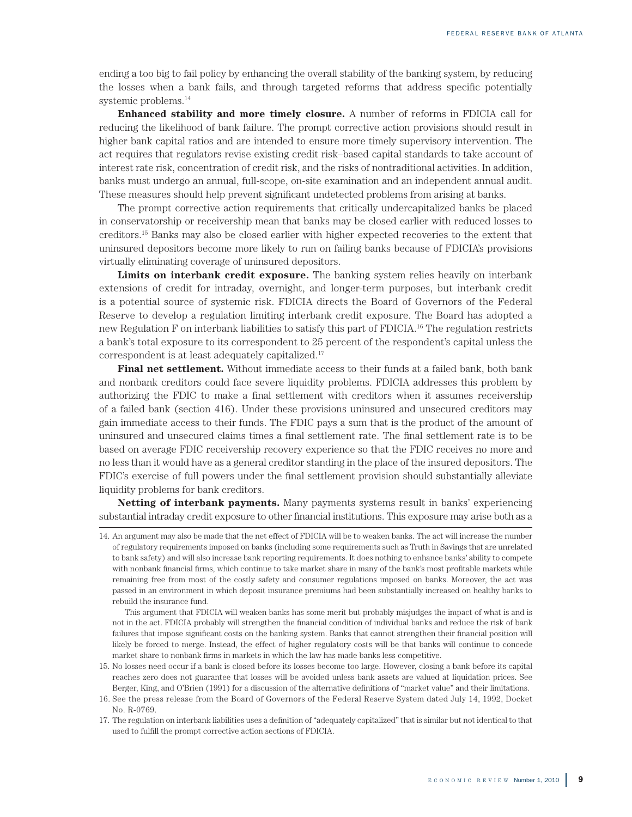ending a too big to fail policy by enhancing the overall stability of the banking system, by reducing the losses when a bank fails, and through targeted reforms that address specific potentially systemic problems.14

**Enhanced stability and more timely closure.** A number of reforms in FDICIA call for reducing the likelihood of bank failure. The prompt corrective action provisions should result in higher bank capital ratios and are intended to ensure more timely supervisory intervention. The act requires that regulators revise existing credit risk–based capital standards to take account of interest rate risk, concentration of credit risk, and the risks of nontraditional activities. In addition, banks must undergo an annual, full-scope, on-site examination and an independent annual audit. These measures should help prevent significant undetected problems from arising at banks.

The prompt corrective action requirements that critically undercapitalized banks be placed in conservatorship or receivership mean that banks may be closed earlier with reduced losses to creditors.15 Banks may also be closed earlier with higher expected recoveries to the extent that uninsured depositors become more likely to run on failing banks because of FDICIA's provisions virtually eliminating coverage of uninsured depositors.

**Limits on interbank credit exposure.** The banking system relies heavily on interbank extensions of credit for intraday, overnight, and longer-term purposes, but interbank credit is a potential source of systemic risk. FDICIA directs the Board of Governors of the Federal Reserve to develop a regulation limiting interbank credit exposure. The Board has adopted a new Regulation F on interbank liabilities to satisfy this part of FDICIA.16 The regulation restricts a bank's total exposure to its correspondent to 25 percent of the respondent's capital unless the correspondent is at least adequately capitalized.17

**Final net settlement.** Without immediate access to their funds at a failed bank, both bank and nonbank creditors could face severe liquidity problems. FDICIA addresses this problem by authorizing the FDIC to make a final settlement with creditors when it assumes receivership of a failed bank (section 416). Under these provisions uninsured and unsecured creditors may gain immediate access to their funds. The FDIC pays a sum that is the product of the amount of uninsured and unsecured claims times a final settlement rate. The final settlement rate is to be based on average FDIC receivership recovery experience so that the FDIC receives no more and no less than it would have as a general creditor standing in the place of the insured depositors. The FDIC's exercise of full powers under the final settlement provision should substantially alleviate liquidity problems for bank creditors.

**Netting of interbank payments.** Many payments systems result in banks' experiencing substantial intraday credit exposure to other financial institutions. This exposure may arise both as a

This argument that FDICIA will weaken banks has some merit but probably misjudges the impact of what is and is not in the act. FDICIA probably will strengthen the financial condition of individual banks and reduce the risk of bank failures that impose significant costs on the banking system. Banks that cannot strengthen their financial position will likely be forced to merge. Instead, the effect of higher regulatory costs will be that banks will continue to concede market share to nonbank firms in markets in which the law has made banks less competitive.

<sup>14.</sup> An argument may also be made that the net effect of FDICIA will be to weaken banks. The act will increase the number of regulatory requirements imposed on banks (including some requirements such as Truth in Savings that are unrelated to bank safety) and will also increase bank reporting requirements. It does nothing to enhance banks' ability to compete with nonbank financial firms, which continue to take market share in many of the bank's most profitable markets while remaining free from most of the costly safety and consumer regulations imposed on banks. Moreover, the act was passed in an environment in which deposit insurance premiums had been substantially increased on healthy banks to rebuild the insurance fund.

<sup>15.</sup> No losses need occur if a bank is closed before its losses become too large. However, closing a bank before its capital reaches zero does not guarantee that losses will be avoided unless bank assets are valued at liquidation prices. See Berger, King, and O'Brien (1991) for a discussion of the alternative definitions of "market value" and their limitations.

<sup>16.</sup> See the press release from the Board of Governors of the Federal Reserve System dated July 14, 1992, Docket No. R-0769.

<sup>17.</sup> The regulation on interbank liabilities uses a definition of "adequately capitalized" that is similar but not identical to that used to fulfill the prompt corrective action sections of FDICIA.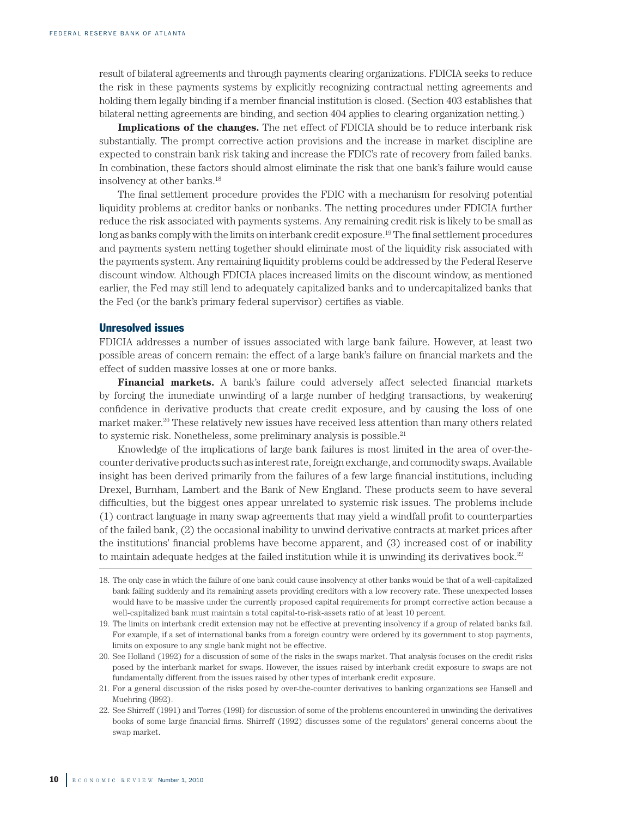result of bilateral agreements and through payments clearing organizations. FDICIA seeks to reduce the risk in these payments systems by explicitly recognizing contractual netting agreements and holding them legally binding if a member financial institution is closed. (Section 403 establishes that bilateral netting agreements are binding, and section 404 applies to clearing organization netting.)

**Implications of the changes.** The net effect of FDICIA should be to reduce interbank risk substantially. The prompt corrective action provisions and the increase in market discipline are expected to constrain bank risk taking and increase the FDIC's rate of recovery from failed banks. In combination, these factors should almost eliminate the risk that one bank's failure would cause insolvency at other banks.18

The final settlement procedure provides the FDIC with a mechanism for resolving potential liquidity problems at creditor banks or nonbanks. The netting procedures under FDICIA further reduce the risk associated with payments systems. Any remaining credit risk is likely to be small as long as banks comply with the limits on interbank credit exposure.<sup>19</sup> The final settlement procedures and payments system netting together should eliminate most of the liquidity risk associated with the payments system. Any remaining liquidity problems could be addressed by the Federal Reserve discount window. Although FDICIA places increased limits on the discount window, as mentioned earlier, the Fed may still lend to adequately capitalized banks and to undercapitalized banks that the Fed (or the bank's primary federal supervisor) certifies as viable.

#### Unresolved issues

FDICIA addresses a number of issues associated with large bank failure. However, at least two possible areas of concern remain: the effect of a large bank's failure on financial markets and the effect of sudden massive losses at one or more banks.

**Financial markets.** A bank's failure could adversely affect selected financial markets by forcing the immediate unwinding of a large number of hedging transactions, by weakening confidence in derivative products that create credit exposure, and by causing the loss of one market maker.<sup>20</sup> These relatively new issues have received less attention than many others related to systemic risk. Nonetheless, some preliminary analysis is possible.<sup>21</sup>

Knowledge of the implications of large bank failures is most limited in the area of over-thecounter derivative products such as interest rate, foreign exchange, and commodity swaps. Available insight has been derived primarily from the failures of a few large financial institutions, including Drexel, Burnham, Lambert and the Bank of New England. These products seem to have several difficulties, but the biggest ones appear unrelated to systemic risk issues. The problems include (1) contract language in many swap agreements that may yield a windfall profit to counterparties of the failed bank, (2) the occasional inability to unwind derivative contracts at market prices after the institutions' financial problems have become apparent, and (3) increased cost of or inability to maintain adequate hedges at the failed institution while it is unwinding its derivatives book.<sup>22</sup>

<sup>18.</sup> The only case in which the failure of one bank could cause insolvency at other banks would be that of a well-capitalized bank failing suddenly and its remaining assets providing creditors with a low recovery rate. These unexpected losses would have to be massive under the currently proposed capital requirements for prompt corrective action because a well-capitalized bank must maintain a total capital-to-risk-assets ratio of at least 10 percent.

<sup>19.</sup> The limits on interbank credit extension may not be effective at preventing insolvency if a group of related banks fail. For example, if a set of international banks from a foreign country were ordered by its government to stop payments, limits on exposure to any single bank might not be effective.

<sup>20.</sup> See Holland (1992) for a discussion of some of the risks in the swaps market. That analysis focuses on the credit risks posed by the interbank market for swaps. However, the issues raised by interbank credit exposure to swaps are not fundamentally different from the issues raised by other types of interbank credit exposure.

<sup>21.</sup> For a general discussion of the risks posed by over-the-counter derivatives to banking organizations see Hansell and Muehring (l992).

<sup>22.</sup> See Shirreff (1991) and Torres (199l) for discussion of some of the problems encountered in unwinding the derivatives books of some large financial firms. Shirreff (1992) discusses some of the regulators' general concerns about the swap market.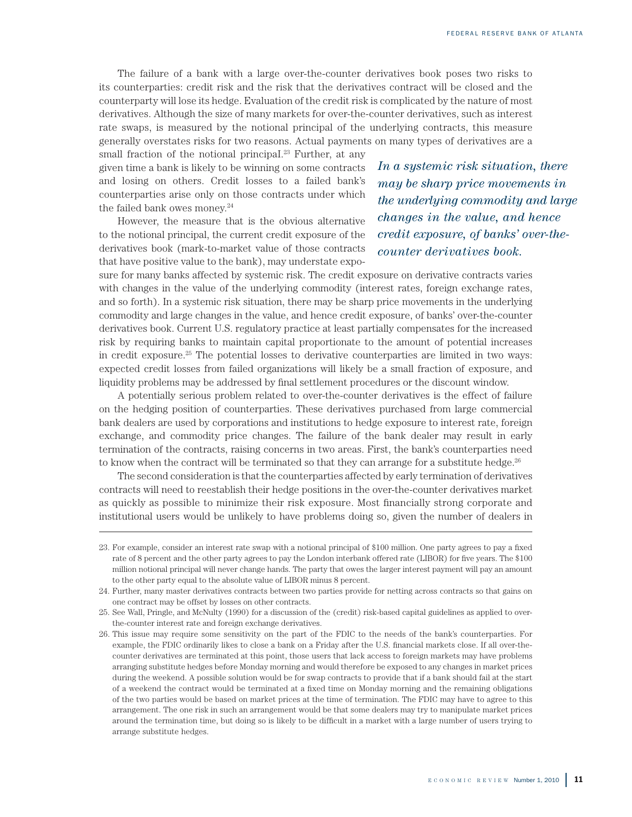The failure of a bank with a large over-the-counter derivatives book poses two risks to its counterparties: credit risk and the risk that the derivatives contract will be closed and the counterparty will lose its hedge. Evaluation of the credit risk is complicated by the nature of most derivatives. Although the size of many markets for over-the-counter derivatives, such as interest rate swaps, is measured by the notional principal of the underlying contracts, this measure generally overstates risks for two reasons. Actual payments on many types of derivatives are a

small fraction of the notional principal.<sup>23</sup> Further, at any given time a bank is likely to be winning on some contracts and losing on others. Credit losses to a failed bank's counterparties arise only on those contracts under which the failed bank owes money. $24$ 

However, the measure that is the obvious alternative to the notional principal, the current credit exposure of the derivatives book (mark-to-market value of those contracts that have positive value to the bank), may understate expo*In a systemic risk situation, there may be sharp price movements in the underlying commodity and large changes in the value, and hence credit exposure, of banks' over-thecounter derivatives book.*

sure for many banks affected by systemic risk. The credit exposure on derivative contracts varies with changes in the value of the underlying commodity (interest rates, foreign exchange rates, and so forth). In a systemic risk situation, there may be sharp price movements in the underlying commodity and large changes in the value, and hence credit exposure, of banks' over-the-counter derivatives book. Current U.S. regulatory practice at least partially compensates for the increased risk by requiring banks to maintain capital proportionate to the amount of potential increases in credit exposure.<sup>25</sup> The potential losses to derivative counterparties are limited in two ways: expected credit losses from failed organizations will likely be a small fraction of exposure, and liquidity problems may be addressed by final settlement procedures or the discount window.

A potentially serious problem related to over-the-counter derivatives is the effect of failure on the hedging position of counterparties. These derivatives purchased from large commercial bank dealers are used by corporations and institutions to hedge exposure to interest rate, foreign exchange, and commodity price changes. The failure of the bank dealer may result in early termination of the contracts, raising concerns in two areas. First, the bank's counterparties need to know when the contract will be terminated so that they can arrange for a substitute hedge.<sup>26</sup>

The second consideration is that the counterparties affected by early termination of derivatives contracts will need to reestablish their hedge positions in the over-the-counter derivatives market as quickly as possible to minimize their risk exposure. Most financially strong corporate and institutional users would be unlikely to have problems doing so, given the number of dealers in

<sup>23.</sup> For example, consider an interest rate swap with a notional principal of \$100 million. One party agrees to pay a fixed rate of 8 percent and the other party agrees to pay the London interbank offered rate (LIBOR) for five years. The \$100 million notional principal will never change hands. The party that owes the larger interest payment will pay an amount to the other party equal to the absolute value of LIBOR minus 8 percent.

<sup>24.</sup> Further, many master derivatives contracts between two parties provide for netting across contracts so that gains on one contract may be offset by losses on other contracts.

<sup>25.</sup> See Wall, Pringle, and McNulty (1990) for a discussion of the (credit) risk-based capital guidelines as applied to overthe-counter interest rate and foreign exchange derivatives.

<sup>26.</sup> This issue may require some sensitivity on the part of the FDIC to the needs of the bank's counterparties. For example, the FDIC ordinarily likes to close a bank on a Friday after the U.S. financial markets close. If all over-thecounter derivatives are terminated at this point, those users that lack access to foreign markets may have problems arranging substitute hedges before Monday morning and would therefore be exposed to any changes in market prices during the weekend. A possible solution would be for swap contracts to provide that if a bank should fail at the start of a weekend the contract would be terminated at a fixed time on Monday morning and the remaining obligations of the two parties would be based on market prices at the time of termination. The FDIC may have to agree to this arrangement. The one risk in such an arrangement would be that some dealers may try to manipulate market prices around the termination time, but doing so is likely to be difficult in a market with a large number of users trying to arrange substitute hedges.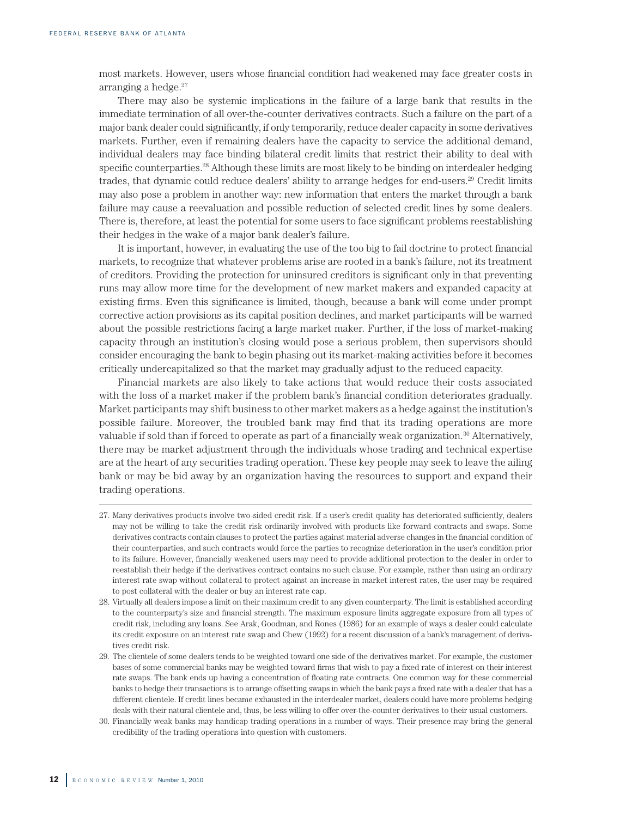most markets. However, users whose financial condition had weakened may face greater costs in arranging a hedge. $27$ 

There may also be systemic implications in the failure of a large bank that results in the immediate termination of all over-the-counter derivatives contracts. Such a failure on the part of a major bank dealer could significantly, if only temporarily, reduce dealer capacity in some derivatives markets. Further, even if remaining dealers have the capacity to service the additional demand, individual dealers may face binding bilateral credit limits that restrict their ability to deal with specific counterparties.<sup>28</sup> Although these limits are most likely to be binding on interdealer hedging trades, that dynamic could reduce dealers' ability to arrange hedges for end-users.29 Credit limits may also pose a problem in another way: new information that enters the market through a bank failure may cause a reevaluation and possible reduction of selected credit lines by some dealers. There is, therefore, at least the potential for some users to face significant problems reestablishing their hedges in the wake of a major bank dealer's failure.

It is important, however, in evaluating the use of the too big to fail doctrine to protect financial markets, to recognize that whatever problems arise are rooted in a bank's failure, not its treatment of creditors. Providing the protection for uninsured creditors is significant only in that preventing runs may allow more time for the development of new market makers and expanded capacity at existing firms. Even this significance is limited, though, because a bank will come under prompt corrective action provisions as its capital position declines, and market participants will be warned about the possible restrictions facing a large market maker. Further, if the loss of market-making capacity through an institution's closing would pose a serious problem, then supervisors should consider encouraging the bank to begin phasing out its market-making activities before it becomes critically undercapitalized so that the market may gradually adjust to the reduced capacity.

Financial markets are also likely to take actions that would reduce their costs associated with the loss of a market maker if the problem bank's financial condition deteriorates gradually. Market participants may shift business to other market makers as a hedge against the institution's possible failure. Moreover, the troubled bank may find that its trading operations are more valuable if sold than if forced to operate as part of a financially weak organization.<sup>30</sup> Alternatively, there may be market adjustment through the individuals whose trading and technical expertise are at the heart of any securities trading operation. These key people may seek to leave the ailing bank or may be bid away by an organization having the resources to support and expand their trading operations.

<sup>27.</sup> Many derivatives products involve two-sided credit risk. If a user's credit quality has deteriorated sufficiently, dealers may not be willing to take the credit risk ordinarily involved with products like forward contracts and swaps. Some derivatives contracts contain clauses to protect the parties against material adverse changes in the financial condition of their counterparties, and such contracts would force the parties to recognize deterioration in the user's condition prior to its failure. However, financially weakened users may need to provide additional protection to the dealer in order to reestablish their hedge if the derivatives contract contains no such clause. For example, rather than using an ordinary interest rate swap without collateral to protect against an increase in market interest rates, the user may be required to post collateral with the dealer or buy an interest rate cap.

<sup>28.</sup> Virtually all dealers impose a limit on their maximum credit to any given counterparty. The limit is established according to the counterparty's size and financial strength. The maximum exposure limits aggregate exposure from all types of credit risk, including any loans. See Arak, Goodman, and Rones (1986) for an example of ways a dealer could calculate its credit exposure on an interest rate swap and Chew (1992) for a recent discussion of a bank's management of derivatives credit risk.

<sup>29.</sup> The clientele of some dealers tends to be weighted toward one side of the derivatives market. For example, the customer bases of some commercial banks may be weighted toward firms that wish to pay a fixed rate of interest on their interest rate swaps. The bank ends up having a concentration of floating rate contracts. One common way for these commercial banks to hedge their transactions is to arrange offsetting swaps in which the bank pays a fixed rate with a dealer that has a different clientele. If credit lines became exhausted in the interdealer market, dealers could have more problems hedging deals with their natural clientele and, thus, be less willing to offer over-the-counter derivatives to their usual customers.

<sup>30.</sup> Financially weak banks may handicap trading operations in a number of ways. Their presence may bring the general credibility of the trading operations into question with customers.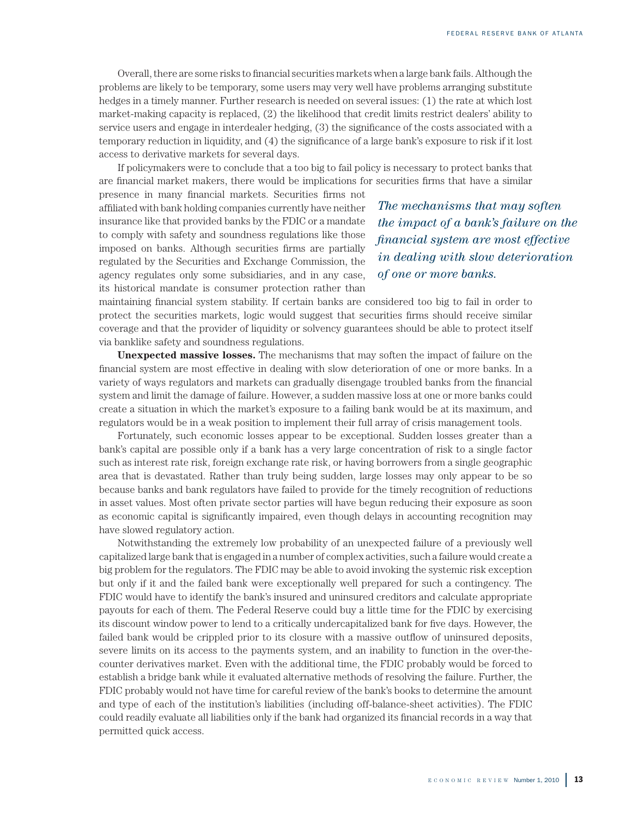Overall, there are some risks to financial securities markets when a large bank fails. Although the problems are likely to be temporary, some users may very well have problems arranging substitute hedges in a timely manner. Further research is needed on several issues: (1) the rate at which lost market-making capacity is replaced, (2) the likelihood that credit limits restrict dealers' ability to service users and engage in interdealer hedging, (3) the significance of the costs associated with a temporary reduction in liquidity, and (4) the significance of a large bank's exposure to risk if it lost access to derivative markets for several days.

If policymakers were to conclude that a too big to fail policy is necessary to protect banks that are financial market makers, there would be implications for securities firms that have a similar

presence in many financial markets. Securities firms not affiliated with bank holding companies currently have neither insurance like that provided banks by the FDIC or a mandate to comply with safety and soundness regulations like those imposed on banks. Although securities firms are partially regulated by the Securities and Exchange Commission, the agency regulates only some subsidiaries, and in any case, its historical mandate is consumer protection rather than

*The mechanisms that may soften the impact of a bank's failure on the financial system are most effective in dealing with slow deterioration of one or more banks.*

maintaining financial system stability. If certain banks are considered too big to fail in order to protect the securities markets, logic would suggest that securities firms should receive similar coverage and that the provider of liquidity or solvency guarantees should be able to protect itself via banklike safety and soundness regulations.

**Unexpected massive losses.** The mechanisms that may soften the impact of failure on the financial system are most effective in dealing with slow deterioration of one or more banks. In a variety of ways regulators and markets can gradually disengage troubled banks from the financial system and limit the damage of failure. However, a sudden massive loss at one or more banks could create a situation in which the market's exposure to a failing bank would be at its maximum, and regulators would be in a weak position to implement their full array of crisis management tools.

Fortunately, such economic losses appear to be exceptional. Sudden losses greater than a bank's capital are possible only if a bank has a very large concentration of risk to a single factor such as interest rate risk, foreign exchange rate risk, or having borrowers from a single geographic area that is devastated. Rather than truly being sudden, large losses may only appear to be so because banks and bank regulators have failed to provide for the timely recognition of reductions in asset values. Most often private sector parties will have begun reducing their exposure as soon as economic capital is significantly impaired, even though delays in accounting recognition may have slowed regulatory action.

Notwithstanding the extremely low probability of an unexpected failure of a previously well capitalized large bank that is engaged in a number of complex activities, such a failure would create a big problem for the regulators. The FDIC may be able to avoid invoking the systemic risk exception but only if it and the failed bank were exceptionally well prepared for such a contingency. The FDIC would have to identify the bank's insured and uninsured creditors and calculate appropriate payouts for each of them. The Federal Reserve could buy a little time for the FDIC by exercising its discount window power to lend to a critically undercapitalized bank for five days. However, the failed bank would be crippled prior to its closure with a massive outflow of uninsured deposits, severe limits on its access to the payments system, and an inability to function in the over-thecounter derivatives market. Even with the additional time, the FDIC probably would be forced to establish a bridge bank while it evaluated alternative methods of resolving the failure. Further, the FDIC probably would not have time for careful review of the bank's books to determine the amount and type of each of the institution's liabilities (including off-balance-sheet activities). The FDIC could readily evaluate all liabilities only if the bank had organized its financial records in a way that permitted quick access.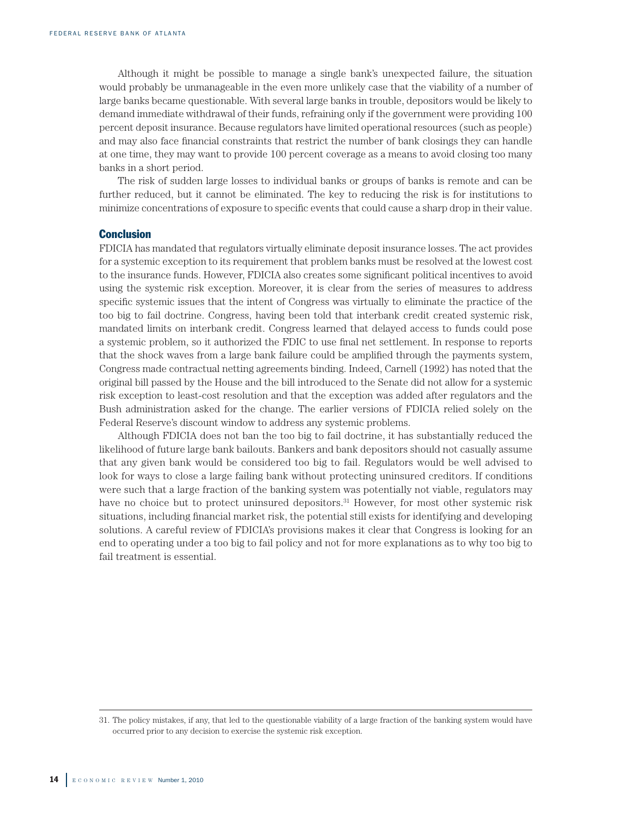Although it might be possible to manage a single bank's unexpected failure, the situation would probably be unmanageable in the even more unlikely case that the viability of a number of large banks became questionable. With several large banks in trouble, depositors would be likely to demand immediate withdrawal of their funds, refraining only if the government were providing 100 percent deposit insurance. Because regulators have limited operational resources (such as people) and may also face financial constraints that restrict the number of bank closings they can handle at one time, they may want to provide 100 percent coverage as a means to avoid closing too many banks in a short period.

The risk of sudden large losses to individual banks or groups of banks is remote and can be further reduced, but it cannot be eliminated. The key to reducing the risk is for institutions to minimize concentrations of exposure to specific events that could cause a sharp drop in their value.

#### **Conclusion**

FDICIA has mandated that regulators virtually eliminate deposit insurance losses. The act provides for a systemic exception to its requirement that problem banks must be resolved at the lowest cost to the insurance funds. However, FDICIA also creates some significant political incentives to avoid using the systemic risk exception. Moreover, it is clear from the series of measures to address specific systemic issues that the intent of Congress was virtually to eliminate the practice of the too big to fail doctrine. Congress, having been told that interbank credit created systemic risk, mandated limits on interbank credit. Congress learned that delayed access to funds could pose a systemic problem, so it authorized the FDIC to use final net settlement. In response to reports that the shock waves from a large bank failure could be amplified through the payments system, Congress made contractual netting agreements binding. Indeed, Carnell (1992) has noted that the original bill passed by the House and the bill introduced to the Senate did not allow for a systemic risk exception to least-cost resolution and that the exception was added after regulators and the Bush administration asked for the change. The earlier versions of FDICIA relied solely on the Federal Reserve's discount window to address any systemic problems.

Although FDICIA does not ban the too big to fail doctrine, it has substantially reduced the likelihood of future large bank bailouts. Bankers and bank depositors should not casually assume that any given bank would be considered too big to fail. Regulators would be well advised to look for ways to close a large failing bank without protecting uninsured creditors. If conditions were such that a large fraction of the banking system was potentially not viable, regulators may have no choice but to protect uninsured depositors.<sup>31</sup> However, for most other systemic risk situations, including financial market risk, the potential still exists for identifying and developing solutions. A careful review of FDICIA's provisions makes it clear that Congress is looking for an end to operating under a too big to fail policy and not for more explanations as to why too big to fail treatment is essential.

<sup>31.</sup> The policy mistakes, if any, that led to the questionable viability of a large fraction of the banking system would have occurred prior to any decision to exercise the systemic risk exception.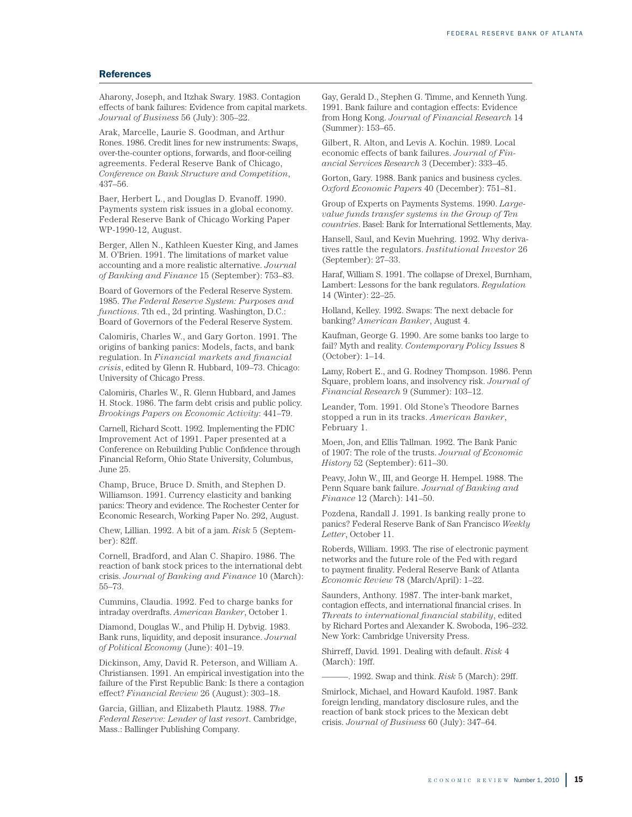#### **References**

Aharony, Joseph, and Itzhak Swary. 1983. Contagion effects of bank failures: Evidence from capital markets. *Journal of Business* 56 (July): 305–22.

Arak, Marcelle, Laurie S. Goodman, and Arthur Rones. 1986. Credit lines for new instruments: Swaps, over-the-counter options, forwards, and floor-ceiling agreements. Federal Reserve Bank of Chicago, *Conference on Bank Structure and Competition*, 437–56.

Baer, Herbert L., and Douglas D. Evanoff. 1990. Payments system risk issues in a global economy. Federal Reserve Bank of Chicago Working Paper WP-1990-12, August.

Berger, Allen N., Kathleen Kuester King, and James M. O'Brien. 1991. The limitations of market value accounting and a more realistic alternative. *Journal of Banking and Finance* 15 (September): 753–83.

Board of Governors of the Federal Reserve System. 1985. *The Federal Reserve System: Purposes and functions*. 7th ed., 2d printing. Washington, D.C.: Board of Governors of the Federal Reserve System.

Calomiris, Charles W., and Gary Gorton. 1991. The origins of banking panics: Models, facts, and bank regulation. In *Financial markets and financial crisis*, edited by Glenn R. Hubbard, 109–73. Chicago: University of Chicago Press.

Calomiris, Charles W., R. Glenn Hubbard, and James H. Stock. 1986. The farm debt crisis and public policy. *Brookings Papers on Economic Activity*: 441–79.

Carnell, Richard Scott. 1992. Implementing the FDIC Improvement Act of 1991. Paper presented at a Conference on Rebuilding Public Confidence through Financial Reform, Ohio State University, Columbus, June 25.

Champ, Bruce, Bruce D. Smith, and Stephen D. Williamson. 1991. Currency elasticity and banking panics: Theory and evidence. The Rochester Center for Economic Research, Working Paper No. 292, August.

Chew, Lillian. 1992. A bit of a jam. *Risk* 5 (September): 82ff.

Cornell, Bradford, and Alan C. Shapiro. 1986. The reaction of bank stock prices to the international debt crisis. *Journal of Banking and Finance* 10 (March): 55–73.

Cummins, Claudia. 1992. Fed to charge banks for intraday overdrafts. *American Banker*, October 1.

Diamond, Douglas W., and Philip H. Dybvig. 1983. Bank runs, liquidity, and deposit insurance. *Journal of Political Economy* (June): 401–19.

Dickinson, Amy, David R. Peterson, and William A. Christiansen. 1991. An empirical investigation into the failure of the First Republic Bank: Is there a contagion effect? *Financial Review* 26 (August): 303–18.

Garcia, Gillian, and Elizabeth Plautz. 1988. *The Federal Reserve: Lender of last resort*. Cambridge, Mass.: Ballinger Publishing Company.

Gay, Gerald D., Stephen G. Timme, and Kenneth Yung. 1991. Bank failure and contagion effects: Evidence from Hong Kong. *Journal of Financial Research* 14 (Summer): 153–65.

Gilbert, R. Alton, and Levis A. Kochin. 1989. Local economic effects of bank failures. *Journal of Financial Services Research* 3 (December): 333–45.

Gorton, Gary. 1988. Bank panics and business cycles. *Oxford Economic Papers* 40 (December): 751–81.

Group of Experts on Payments Systems. 1990. *Largevalue funds transfer systems in the Group of Ten countries*. Basel: Bank for International Settlements, May.

Hansell, Saul, and Kevin Muehring. 1992. Why derivatives rattle the regulators. *Institutional Investor* 26 (September): 27–33.

Haraf, William S. 1991. The collapse of Drexel, Burnham, Lambert: Lessons for the bank regulators. *Regulation* 14 (Winter): 22–25.

Holland, Kelley. 1992. Swaps: The next debacle for banking? *American Banker*, August 4.

Kaufman, George G. 1990. Are some banks too large to fail? Myth and reality. *Contemporary Policy Issues* 8 (October): 1–14.

Lamy, Robert E., and G. Rodney Thompson. 1986. Penn Square, problem loans, and insolvency risk. *Journal of Financial Research* 9 (Summer): 103–12.

Leander, Tom. 1991. Old Stone's Theodore Barnes stopped a run in its tracks. *American Banker*, February 1.

Moen, Jon, and Ellis Tallman. 1992. The Bank Panic of 1907: The role of the trusts. *Journal of Economic History* 52 (September): 611–30.

Peavy, John W., III, and George H. Hempel. 1988. The Penn Square bank failure. *Journal of Banking and Finance* 12 (March): 141–50.

Pozdena, Randall J. 1991. Is banking really prone to panics? Federal Reserve Bank of San Francisco *Weekly Letter*, October 11.

Roberds, William. 1993. The rise of electronic payment networks and the future role of the Fed with regard to payment finality. Federal Reserve Bank of Atlanta *Economic Review* 78 (March/April): 1–22.

Saunders, Anthony. 1987. The inter-bank market, contagion effects, and international financial crises. In *Threats to international financial stability*, edited by Richard Portes and Alexander K. Swoboda, 196–232. New York: Cambridge University Press.

Shirreff, David. 1991. Dealing with default. *Risk* 4 (March): 19ff.

———. 1992. Swap and think. *Risk* 5 (March): 29ff.

Smirlock, Michael, and Howard Kaufold. 1987. Bank foreign lending, mandatory disclosure rules, and the reaction of bank stock prices to the Mexican debt crisis. *Journal of Business* 60 (July): 347–64.